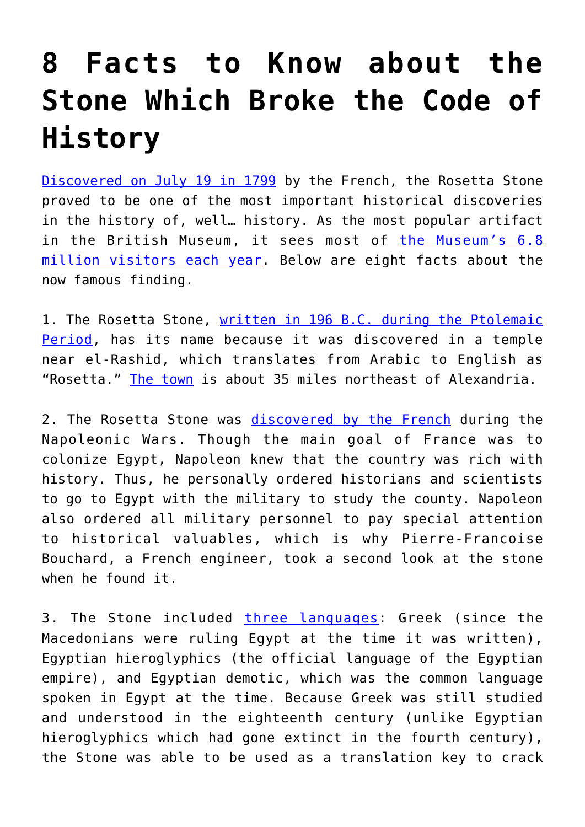## **[8 Facts to Know about the](https://intellectualtakeout.org/2017/07/8-facts-to-know-about-the-stone-which-broke-the-code-of-history/) [Stone Which Broke the Code of](https://intellectualtakeout.org/2017/07/8-facts-to-know-about-the-stone-which-broke-the-code-of-history/) [History](https://intellectualtakeout.org/2017/07/8-facts-to-know-about-the-stone-which-broke-the-code-of-history/)**

[Discovered on July 19 in 1799](http://www.history.com/this-day-in-history/rosetta-stone-found) by the French, the Rosetta Stone proved to be one of the most important historical discoveries in the history of, well… history. As the most popular artifact in the British Museum, it sees most of [the Museum's 6.8](http://www.bbc.com/news/entertainment-arts-35730578) [million visitors each year.](http://www.bbc.com/news/entertainment-arts-35730578) Below are eight facts about the now famous finding.

1. The Rosetta Stone, [written in 196 B.C. during the Ptolemaic](http://www.britishmuseum.org/research/collection_online/collection_object_details.aspx?objectId=117631&partId=1) [Period](http://www.britishmuseum.org/research/collection_online/collection_object_details.aspx?objectId=117631&partId=1), has its name because it was discovered in a temple near el-Rashid, which translates from Arabic to English as "Rosetta." [The town](https://www.britannica.com/place/Rosetta-Egypt) is about 35 miles northeast of Alexandria.

2. The Rosetta Stone was [discovered by the French](http://napoleon.lindahall.org/rosetta_stone.shtml) during the Napoleonic Wars. Though the main goal of France was to colonize Egypt, Napoleon knew that the country was rich with history. Thus, he personally ordered historians and scientists to go to Egypt with the military to study the county. Napoleon also ordered all military personnel to pay special attention to historical valuables, which is why Pierre-Francoise Bouchard, a French engineer, took a second look at the stone when he found it.

3. The Stone included [three languages](http://www.sacred-texts.com/egy/trs/trs01.htm): Greek (since the Macedonians were ruling Egypt at the time it was written), Egyptian hieroglyphics (the official language of the Egyptian empire), and Egyptian demotic, which was the common language spoken in Egypt at the time. Because Greek was still studied and understood in the eighteenth century (unlike Egyptian hieroglyphics which had gone extinct in the fourth century), the Stone was able to be used as a translation key to crack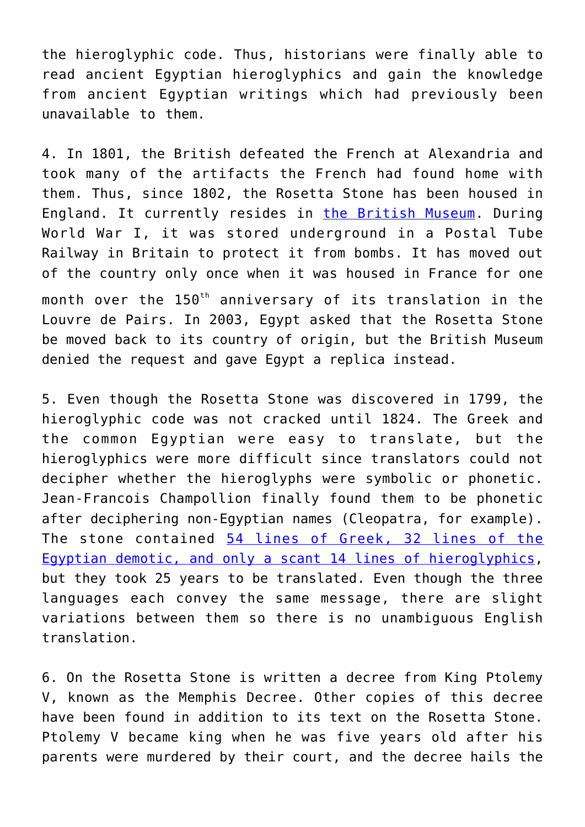the hieroglyphic code. Thus, historians were finally able to read ancient Egyptian hieroglyphics and gain the knowledge from ancient Egyptian writings which had previously been unavailable to them.

4. In 1801, the British defeated the French at Alexandria and took many of the artifacts the French had found home with them. Thus, since 1802, the Rosetta Stone has been housed in England. It currently resides in [the British Museum.](http://www.britishmuseum.org/research/collection_online/collection_object_details.aspx?objectId=117631&partId=1) During World War I, it was stored underground in a Postal Tube Railway in Britain to protect it from bombs. It has moved out of the country only once when it was housed in France for one month over the 150<sup>th</sup> anniversary of its translation in the Louvre de Pairs. In 2003, Egypt asked that the Rosetta Stone be moved back to its country of origin, but the British Museum denied the request and gave Egypt a replica instead.

5. Even though the Rosetta Stone was discovered in 1799, the hieroglyphic code was not cracked until 1824. The Greek and the common Egyptian were easy to translate, but the hieroglyphics were more difficult since translators could not decipher whether the hieroglyphs were symbolic or phonetic. Jean-Francois Champollion finally found them to be phonetic after deciphering non-Egyptian names (Cleopatra, for example). The stone contained [54 lines of Greek, 32 lines of the](http://www.sacred-texts.com/egy/trs/trs01.htm) [Egyptian demotic, and only a scant 14 lines of hieroglyphics,](http://www.sacred-texts.com/egy/trs/trs01.htm) but they took 25 years to be translated. Even though the three languages each convey the same message, there are slight variations between them so there is no unambiguous English translation.

6. On the Rosetta Stone is written a decree from King Ptolemy V, known as the Memphis Decree. Other copies of this decree have been found in addition to its text on the Rosetta Stone. Ptolemy V became king when he was five years old after his parents were murdered by their court, and the decree hails the